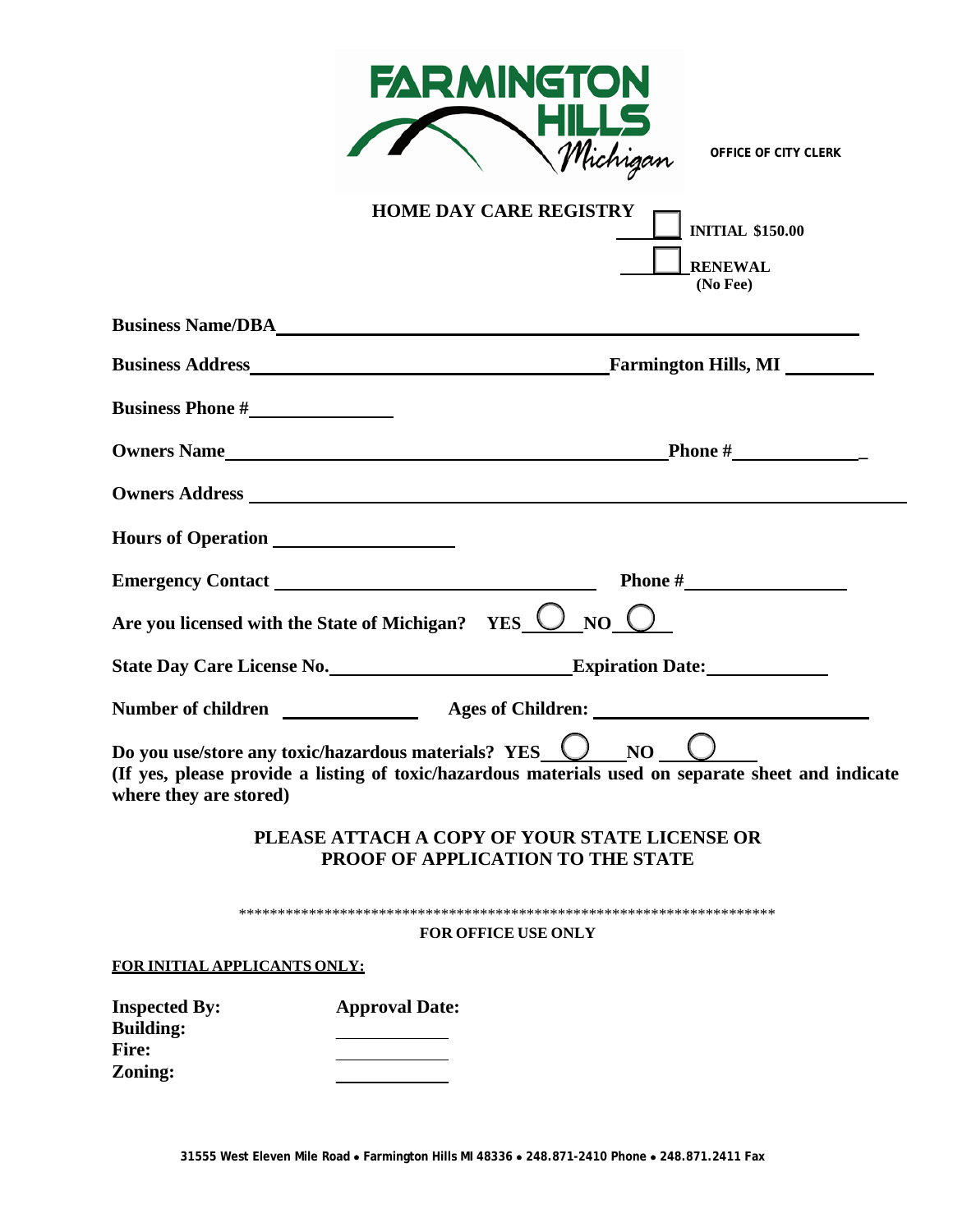

| <b>HOME DAY CARE REGISTRY</b><br><b>INITIAL \$150.00</b><br><b>RENEWAL</b><br>(No Fee)                                                                                                                        |
|---------------------------------------------------------------------------------------------------------------------------------------------------------------------------------------------------------------|
| Business Name/DBA                                                                                                                                                                                             |
|                                                                                                                                                                                                               |
| <b>Business Phone #</b>                                                                                                                                                                                       |
|                                                                                                                                                                                                               |
|                                                                                                                                                                                                               |
|                                                                                                                                                                                                               |
|                                                                                                                                                                                                               |
| Are you licensed with the State of Michigan? YES $\bigcirc$ NO $\bigcirc$                                                                                                                                     |
|                                                                                                                                                                                                               |
| Number of children __________________ Ages of Children: _________________________                                                                                                                             |
| Do you use/store any toxic/hazardous materials? YES_ $\bigcirc$ NO $\bigcirc$<br>(If yes, please provide a listing of toxic/hazardous materials used on separate sheet and indicate<br>where they are stored) |
| PLEASE ATTACH A COPY OF YOUR STATE LICENSE OR<br>PROOF OF APPLICATION TO THE STATE                                                                                                                            |
| <b>FOR OFFICE USE ONLY</b>                                                                                                                                                                                    |
| FOR INITIAL APPLICANTS ONLY:                                                                                                                                                                                  |
| <b>Approval Date:</b><br><b>Inspected By:</b><br><b>Building:</b><br>Fire:<br>Zoning:                                                                                                                         |